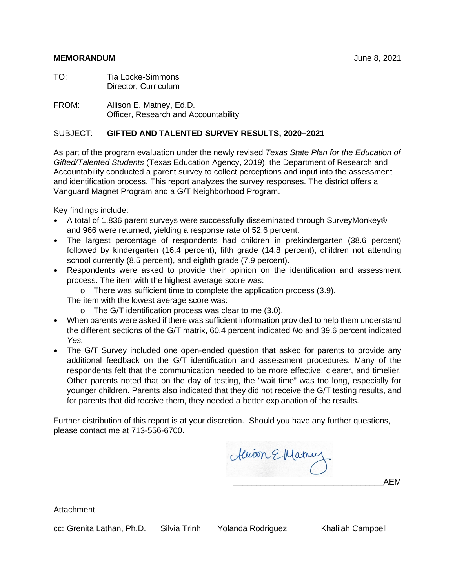#### **MEMORANDUM** June 8, 2021

| TO: | <b>Tia Locke-Simmons</b> |
|-----|--------------------------|
|     | Director, Curriculum     |

FROM: Allison E. Matney, Ed.D. Officer, Research and Accountability

#### SUBJECT: **GIFTED AND TALENTED SURVEY RESULTS, 2020–2021**

As part of the program evaluation under the newly revised *Texas State Plan for the Education of Gifted/Talented Students* (Texas Education Agency, 2019), the Department of Research and Accountability conducted a parent survey to collect perceptions and input into the assessment and identification process. This report analyzes the survey responses. The district offers a Vanguard Magnet Program and a G/T Neighborhood Program.

Key findings include:

- A total of 1,836 parent surveys were successfully disseminated through SurveyMonkey® and 966 were returned, yielding a response rate of 52.6 percent.
- The largest percentage of respondents had children in prekindergarten (38.6 percent) followed by kindergarten (16.4 percent), fifth grade (14.8 percent), children not attending school currently (8.5 percent), and eighth grade (7.9 percent).
- Respondents were asked to provide their opinion on the identification and assessment process. The item with the highest average score was:
	- o There was sufficient time to complete the application process (3.9).

The item with the lowest average score was:

- o The G/T identification process was clear to me (3.0).
- When parents were asked if there was sufficient information provided to help them understand the different sections of the G/T matrix, 60.4 percent indicated *No* and 39.6 percent indicated *Yes.*
- The G/T Survey included one open-ended question that asked for parents to provide any additional feedback on the G/T identification and assessment procedures. Many of the respondents felt that the communication needed to be more effective, clearer, and timelier. Other parents noted that on the day of testing, the "wait time" was too long, especially for younger children. Parents also indicated that they did not receive the G/T testing results, and for parents that did receive them, they needed a better explanation of the results.

Further distribution of this report is at your discretion. Should you have any further questions, please contact me at 713-556-6700.

Alison E Matnul \_\_\_\_\_\_\_\_\_\_\_\_\_\_\_\_\_\_\_\_\_\_\_\_\_\_\_\_\_\_\_\_\_AEM

**Attachment** 

cc: Grenita Lathan, Ph.D. Silvia Trinh Yolanda Rodriguez Khalilah Campbell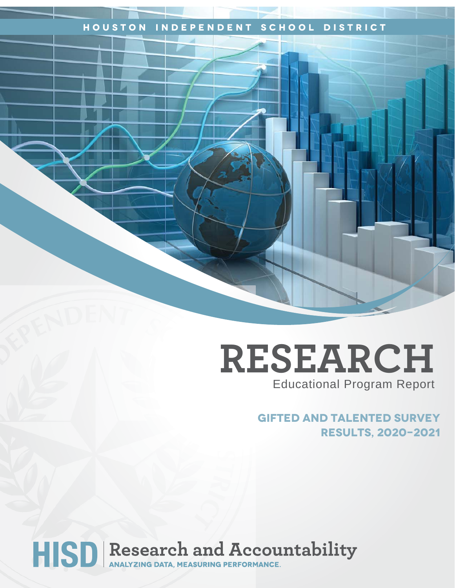## **Houston Independent School District**

## **RESEARCH** Educational Program Report

**Gifted and Talented Survey Results, 2020-2021**

# HISD Research and Accountability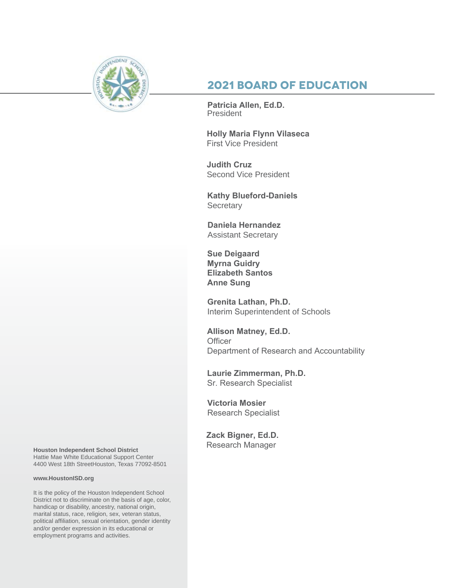

## **2021 Board of Education**

**Patricia Allen, Ed.D.** President

**Holly Maria Flynn Vilaseca**  First Vice President

**Judith Cruz**  Second Vice President

**Kathy Blueford-Daniels Secretary** 

**Daniela Hernandez** Assistant Secretary

**Sue Deigaard Myrna Guidry Elizabeth Santos Anne Sung**

**Grenita Lathan, Ph.D.**  Interim Superintendent of Schools

**Allison Matney, Ed.D. Officer** Department of Research and Accountability

**Laurie Zimmerman, Ph.D.** Sr. Research Specialist

**Victoria Mosier** Research Specialist

**Zack Bigner, Ed.D.** 

Research Manager **Houston Independent School District** Hattie Mae White Educational Support Center 4400 West 18th StreetHouston, Texas 77092-8501

#### **www.HoustonISD.org**

It is the policy of the Houston Independent School District not to discriminate on the basis of age, color, handicap or disability, ancestry, national origin, marital status, race, religion, sex, veteran status, political affiliation, sexual orientation, gender identity and/or gender expression in its educational or employment programs and activities.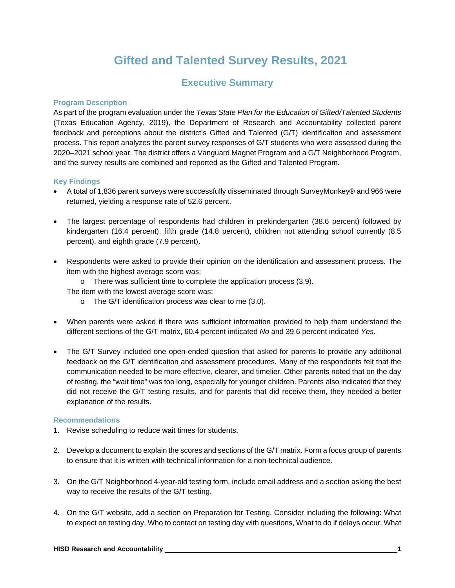## **Gifted and Talented Survey Results, 2021**

## **Executive Summary**

#### **Program Description**

As part of the program evaluation under the *Texas State Plan for the Education of Gifted/Talented Students* (Texas Education Agency, 2019), the Department of Research and Accountability collected parent feedback and perceptions about the district's Gifted and Talented (G/T) identification and assessment process. This report analyzes the parent survey responses of G/T students who were assessed during the 2020–2021 school year. The district offers a Vanguard Magnet Program and a G/T Neighborhood Program, and the survey results are combined and reported as the Gifted and Talented Program.

#### **Key Findings**

- A total of 1,836 parent surveys were successfully disseminated through SurveyMonkey® and 966 were returned, yielding a response rate of 52.6 percent.
- The largest percentage of respondents had children in prekindergarten (38.6 percent) followed by kindergarten (16.4 percent), fifth grade (14.8 percent), children not attending school currently (8.5 percent), and eighth grade (7.9 percent).
- Respondents were asked to provide their opinion on the identification and assessment process. The item with the highest average score was:
	- o There was sufficient time to complete the application process (3.9).
	- The item with the lowest average score was:
		- o The G/T identification process was clear to me (3.0).
- When parents were asked if there was sufficient information provided to help them understand the different sections of the G/T matrix, 60.4 percent indicated *No* and 39.6 percent indicated *Yes.*
- The G/T Survey included one open-ended question that asked for parents to provide any additional feedback on the G/T identification and assessment procedures. Many of the respondents felt that the communication needed to be more effective, clearer, and timelier. Other parents noted that on the day of testing, the "wait time" was too long, especially for younger children. Parents also indicated that they did not receive the G/T testing results, and for parents that did receive them, they needed a better explanation of the results.

#### **Recommendations**

- 1. Revise scheduling to reduce wait times for students.
- 2. Develop a document to explain the scores and sections of the G/T matrix. Form a focus group of parents to ensure that it is written with technical information for a non-technical audience.
- 3. On the G/T Neighborhood 4-year-old testing form, include email address and a section asking the best way to receive the results of the G/T testing.
- 4. On the G/T website, add a section on Preparation for Testing. Consider including the following: What to expect on testing day, Who to contact on testing day with questions, What to do if delays occur, What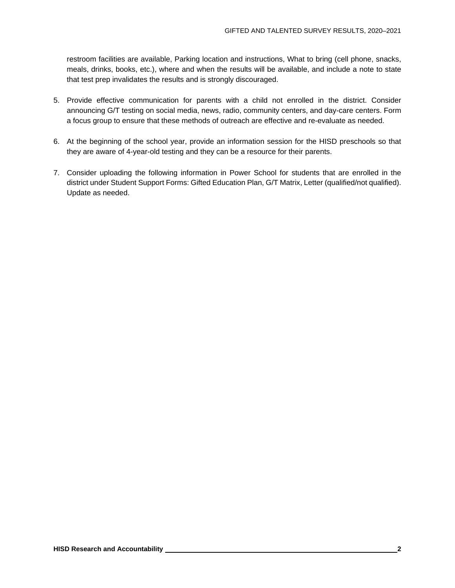restroom facilities are available, Parking location and instructions, What to bring (cell phone, snacks, meals, drinks, books, etc.), where and when the results will be available, and include a note to state that test prep invalidates the results and is strongly discouraged.

- 5. Provide effective communication for parents with a child not enrolled in the district. Consider announcing G/T testing on social media, news, radio, community centers, and day-care centers. Form a focus group to ensure that these methods of outreach are effective and re-evaluate as needed.
- 6. At the beginning of the school year, provide an information session for the HISD preschools so that they are aware of 4-year-old testing and they can be a resource for their parents.
- 7. Consider uploading the following information in Power School for students that are enrolled in the district under Student Support Forms: Gifted Education Plan, G/T Matrix, Letter (qualified/not qualified). Update as needed.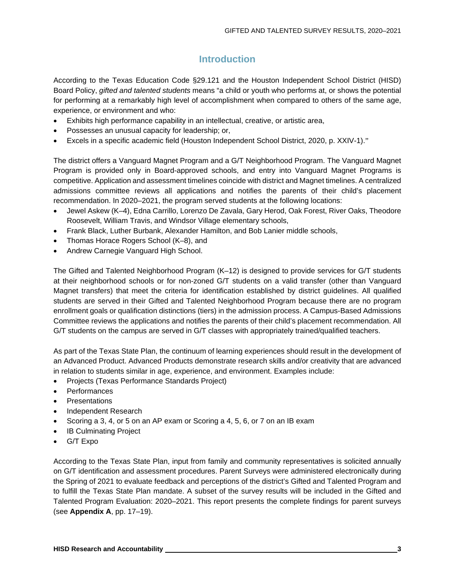## **Introduction**

According to the Texas Education Code §29.121 and the Houston Independent School District (HISD) Board Policy, *gifted and talented students* means "a child or youth who performs at, or shows the potential for performing at a remarkably high level of accomplishment when compared to others of the same age, experience, or environment and who:

- Exhibits high performance capability in an intellectual, creative, or artistic area,
- Possesses an unusual capacity for leadership; or,
- Excels in a specific academic field (Houston Independent School District, 2020, p. XXIV-1)."

The district offers a Vanguard Magnet Program and a G/T Neighborhood Program. The Vanguard Magnet Program is provided only in Board-approved schools, and entry into Vanguard Magnet Programs is competitive. Application and assessment timelines coincide with district and Magnet timelines. A centralized admissions committee reviews all applications and notifies the parents of their child's placement recommendation. In 2020–2021, the program served students at the following locations:

- Jewel Askew (K–4), Edna Carrillo, Lorenzo De Zavala, Gary Herod, Oak Forest, River Oaks, Theodore Roosevelt, William Travis, and Windsor Village elementary schools,
- Frank Black, Luther Burbank, Alexander Hamilton, and Bob Lanier middle schools,
- Thomas Horace Rogers School (K–8), and
- Andrew Carnegie Vanguard High School.

The Gifted and Talented Neighborhood Program (K–12) is designed to provide services for G/T students at their neighborhood schools or for non-zoned G/T students on a valid transfer (other than Vanguard Magnet transfers) that meet the criteria for identification established by district guidelines. All qualified students are served in their Gifted and Talented Neighborhood Program because there are no program enrollment goals or qualification distinctions (tiers) in the admission process. A Campus-Based Admissions Committee reviews the applications and notifies the parents of their child's placement recommendation. All G/T students on the campus are served in G/T classes with appropriately trained/qualified teachers.

As part of the Texas State Plan, the continuum of learning experiences should result in the development of an Advanced Product. Advanced Products demonstrate research skills and/or creativity that are advanced in relation to students similar in age, experience, and environment. Examples include:

- Projects (Texas Performance Standards Project)
- **Performances**
- **Presentations**
- Independent Research
- Scoring a 3, 4, or 5 on an AP exam or Scoring a 4, 5, 6, or 7 on an IB exam
- **IB Culminating Project**
- G/T Expo

According to the Texas State Plan, input from family and community representatives is solicited annually on G/T identification and assessment procedures. Parent Surveys were administered electronically during the Spring of 2021 to evaluate feedback and perceptions of the district's Gifted and Talented Program and to fulfill the Texas State Plan mandate. A subset of the survey results will be included in the Gifted and Talented Program Evaluation: 2020–2021. This report presents the complete findings for parent surveys (see **Appendix A**, pp. 17–19).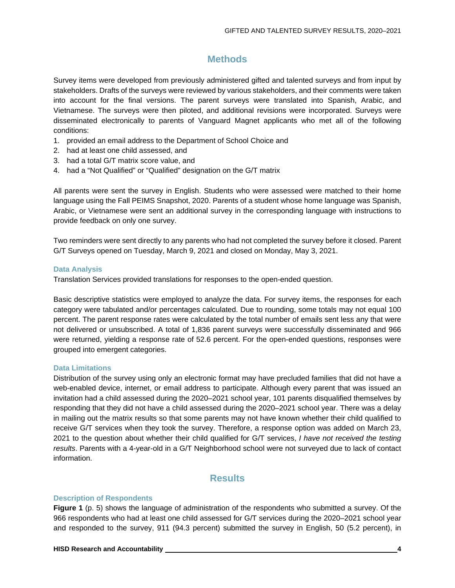## **Methods**

Survey items were developed from previously administered gifted and talented surveys and from input by stakeholders. Drafts of the surveys were reviewed by various stakeholders, and their comments were taken into account for the final versions. The parent surveys were translated into Spanish, Arabic, and Vietnamese. The surveys were then piloted, and additional revisions were incorporated. Surveys were disseminated electronically to parents of Vanguard Magnet applicants who met all of the following conditions:

- 1. provided an email address to the Department of School Choice and
- 2. had at least one child assessed, and
- 3. had a total G/T matrix score value, and
- 4. had a "Not Qualified" or "Qualified" designation on the G/T matrix

All parents were sent the survey in English. Students who were assessed were matched to their home language using the Fall PEIMS Snapshot, 2020. Parents of a student whose home language was Spanish, Arabic, or Vietnamese were sent an additional survey in the corresponding language with instructions to provide feedback on only one survey.

Two reminders were sent directly to any parents who had not completed the survey before it closed. Parent G/T Surveys opened on Tuesday, March 9, 2021 and closed on Monday, May 3, 2021.

#### **Data Analysis**

Translation Services provided translations for responses to the open-ended question.

Basic descriptive statistics were employed to analyze the data. For survey items, the responses for each category were tabulated and/or percentages calculated. Due to rounding, some totals may not equal 100 percent. The parent response rates were calculated by the total number of emails sent less any that were not delivered or unsubscribed. A total of 1,836 parent surveys were successfully disseminated and 966 were returned, yielding a response rate of 52.6 percent. For the open-ended questions, responses were grouped into emergent categories.

#### **Data Limitations**

Distribution of the survey using only an electronic format may have precluded families that did not have a web-enabled device, internet, or email address to participate. Although every parent that was issued an invitation had a child assessed during the 2020–2021 school year, 101 parents disqualified themselves by responding that they did not have a child assessed during the 2020–2021 school year. There was a delay in mailing out the matrix results so that some parents may not have known whether their child qualified to receive G/T services when they took the survey. Therefore, a response option was added on March 23, 2021 to the question about whether their child qualified for G/T services, *I have not received the testing results*. Parents with a 4-year-old in a G/T Neighborhood school were not surveyed due to lack of contact information.

#### **Results**

#### **Description of Respondents**

**Figure 1** (p. 5) shows the language of administration of the respondents who submitted a survey. Of the 966 respondents who had at least one child assessed for G/T services during the 2020–2021 school year and responded to the survey, 911 (94.3 percent) submitted the survey in English, 50 (5.2 percent), in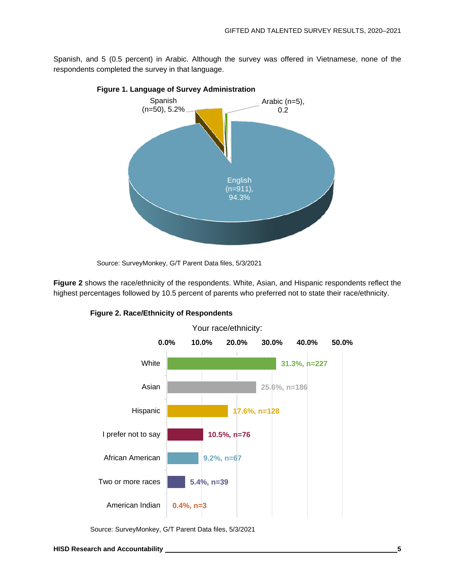Spanish, and 5 (0.5 percent) in Arabic. Although the survey was offered in Vietnamese, none of the respondents completed the survey in that language.



**Figure 1. Language of Survey Administration**

**Figure 2** shows the race/ethnicity of the respondents. White, Asian, and Hispanic respondents reflect the highest percentages followed by 10.5 percent of parents who preferred not to state their race/ethnicity.



#### **Figure 2. Race/Ethnicity of Respondents**

Source: SurveyMonkey, G/T Parent Data files, 5/3/2021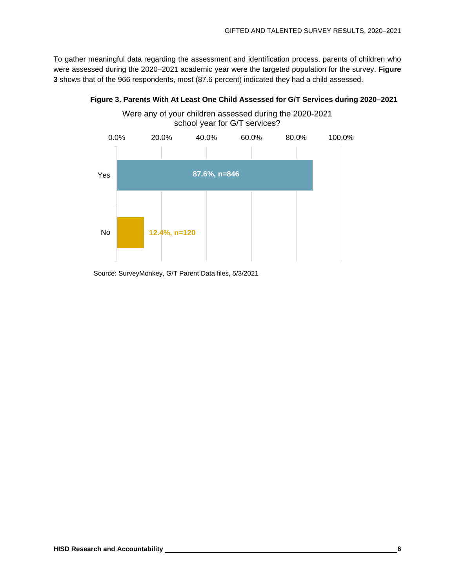To gather meaningful data regarding the assessment and identification process, parents of children who were assessed during the 2020–2021 academic year were the targeted population for the survey. **Figure 3** shows that of the 966 respondents, most (87.6 percent) indicated they had a child assessed.



#### **Figure 3. Parents With At Least One Child Assessed for G/T Services during 2020–2021**

Source: SurveyMonkey, G/T Parent Data files, 5/3/2021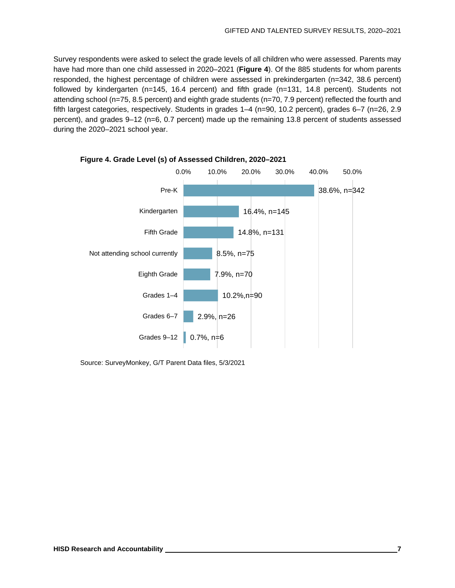Survey respondents were asked to select the grade levels of all children who were assessed. Parents may have had more than one child assessed in 2020–2021 (**Figure 4**). Of the 885 students for whom parents responded, the highest percentage of children were assessed in prekindergarten (n=342, 38.6 percent) followed by kindergarten (n=145, 16.4 percent) and fifth grade (n=131, 14.8 percent). Students not attending school (n=75, 8.5 percent) and eighth grade students (n=70, 7.9 percent) reflected the fourth and fifth largest categories, respectively. Students in grades 1–4 (n=90, 10.2 percent), grades 6–7 (n=26, 2.9 percent), and grades 9–12 (n=6, 0.7 percent) made up the remaining 13.8 percent of students assessed during the 2020–2021 school year.

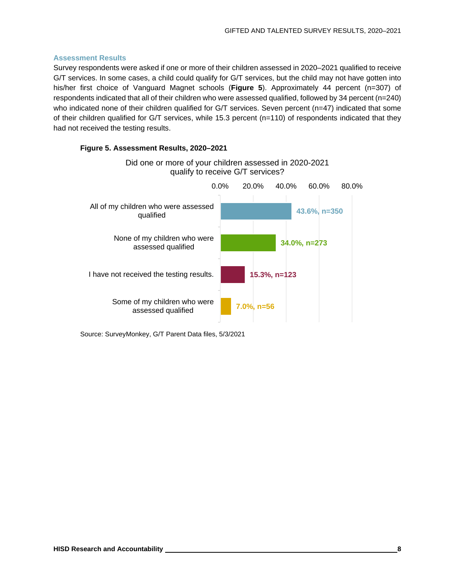#### **Assessment Results**

Survey respondents were asked if one or more of their children assessed in 2020–2021 qualified to receive G/T services. In some cases, a child could qualify for G/T services, but the child may not have gotten into his/her first choice of Vanguard Magnet schools (**Figure 5**). Approximately 44 percent (n=307) of respondents indicated that all of their children who were assessed qualified, followed by 34 percent (n=240) who indicated none of their children qualified for G/T services. Seven percent (n=47) indicated that some of their children qualified for G/T services, while 15.3 percent (n=110) of respondents indicated that they had not received the testing results.

#### **Figure 5. Assessment Results, 2020–2021**

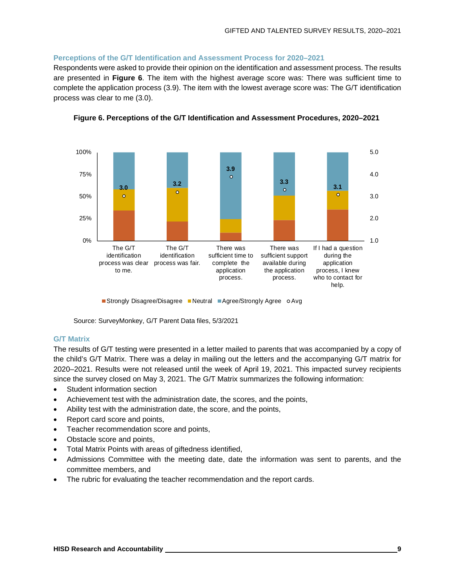#### **Perceptions of the G/T Identification and Assessment Process for 2020–2021**

Respondents were asked to provide their opinion on the identification and assessment process. The results are presented in **Figure 6**. The item with the highest average score was: There was sufficient time to complete the application process (3.9). The item with the lowest average score was: The G/T identification process was clear to me (3.0).



**Figure 6. Perceptions of the G/T Identification and Assessment Procedures, 2020–2021**

■ Strongly Disagree/Disagree ■ Neutral ■ Agree/Strongly Agree OAvg

Source: SurveyMonkey, G/T Parent Data files, 5/3/2021

#### **G/T Matrix**

The results of G/T testing were presented in a letter mailed to parents that was accompanied by a copy of the child's G/T Matrix. There was a delay in mailing out the letters and the accompanying G/T matrix for 2020–2021. Results were not released until the week of April 19, 2021. This impacted survey recipients since the survey closed on May 3, 2021. The G/T Matrix summarizes the following information:

- Student information section
- Achievement test with the administration date, the scores, and the points,
- Ability test with the administration date, the score, and the points,
- Report card score and points,
- Teacher recommendation score and points,
- Obstacle score and points,
- Total Matrix Points with areas of giftedness identified,
- Admissions Committee with the meeting date, date the information was sent to parents, and the committee members, and
- The rubric for evaluating the teacher recommendation and the report cards.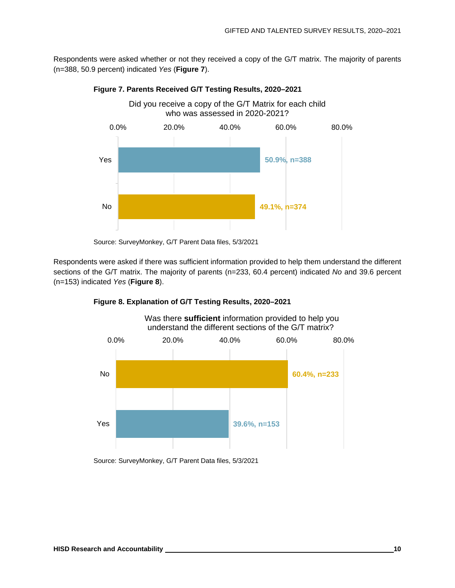Respondents were asked whether or not they received a copy of the G/T matrix. The majority of parents (n=388, 50.9 percent) indicated *Yes* (**Figure 7**).



#### **Figure 7. Parents Received G/T Testing Results, 2020–2021**

Respondents were asked if there was sufficient information provided to help them understand the different sections of the G/T matrix. The majority of parents (n=233, 60.4 percent) indicated *No* and 39.6 percent (n=153) indicated *Yes* (**Figure 8**).





Was there **sufficient** information provided to help you understand the different sections of the G/T matrix?

Source: SurveyMonkey, G/T Parent Data files, 5/3/2021

Source: SurveyMonkey, G/T Parent Data files, 5/3/2021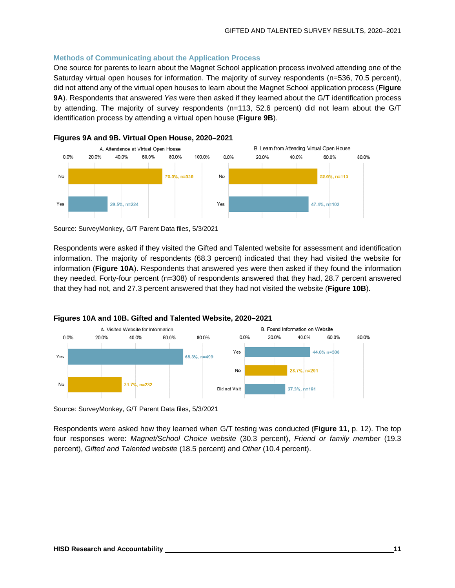#### **Methods of Communicating about the Application Process**

One source for parents to learn about the Magnet School application process involved attending one of the Saturday virtual open houses for information. The majority of survey respondents (n=536, 70.5 percent), did not attend any of the virtual open houses to learn about the Magnet School application process (**Figure 9A**). Respondents that answered *Yes* were then asked if they learned about the G/T identification process by attending. The majority of survey respondents (n=113, 52.6 percent) did not learn about the G/T identification process by attending a virtual open house (**Figure 9B**).



#### **Figures 9A and 9B. Virtual Open House, 2020–2021**

Source: SurveyMonkey, G/T Parent Data files, 5/3/2021

Respondents were asked if they visited the Gifted and Talented website for assessment and identification information. The majority of respondents (68.3 percent) indicated that they had visited the website for information (**Figure 10A**). Respondents that answered yes were then asked if they found the information they needed. Forty-four percent (n=308) of respondents answered that they had, 28.7 percent answered that they had not, and 27.3 percent answered that they had not visited the website (**Figure 10B**).



Source: SurveyMonkey, G/T Parent Data files, 5/3/2021

Respondents were asked how they learned when G/T testing was conducted (**Figure 11**, p. 12). The top four responses were: *Magnet/School Choice website* (30.3 percent), *Friend or family member* (19.3 percent), *Gifted and Talented website* (18.5 percent) and *Other* (10.4 percent).

80.0%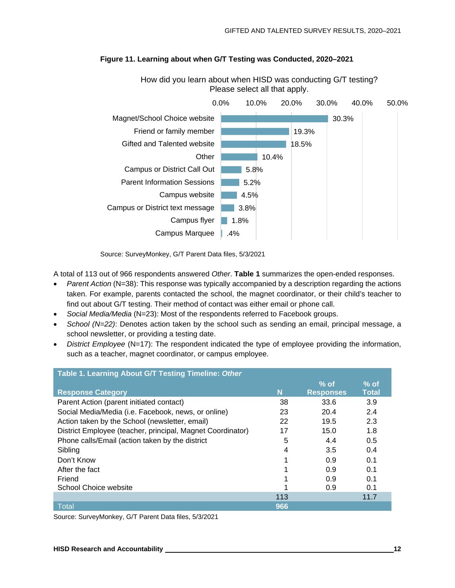

#### **Figure 11. Learning about when G/T Testing was Conducted, 2020–2021**

How did you learn about when HISD was conducting G/T testing? Please select all that apply.

Source: SurveyMonkey, G/T Parent Data files, 5/3/2021

A total of 113 out of 966 respondents answered *Other*. **Table 1** summarizes the open-ended responses.

- *Parent Action* (N=38): This response was typically accompanied by a description regarding the actions taken. For example, parents contacted the school, the magnet coordinator, or their child's teacher to find out about G/T testing. Their method of contact was either email or phone call.
- *Social Media/Media* (N=23): Most of the respondents referred to Facebook groups.
- *School (N=22)*: Denotes action taken by the school such as sending an email, principal message, a school newsletter, or providing a testing date.
- *District Employee* (N=17): The respondent indicated the type of employee providing the information, such as a teacher, magnet coordinator, or campus employee.

| Table 1. Learning About G/T Testing Timeline: Other        |     |                  |              |
|------------------------------------------------------------|-----|------------------|--------------|
|                                                            |     | $%$ of           | $%$ of       |
| <b>Response Category</b>                                   | N   | <b>Responses</b> | <b>Total</b> |
| Parent Action (parent initiated contact)                   | 38  | 33.6             | 3.9          |
| Social Media/Media (i.e. Facebook, news, or online)        | 23  | 20.4             | 2.4          |
| Action taken by the School (newsletter, email)             | 22  | 19.5             | 2.3          |
| District Employee (teacher, principal, Magnet Coordinator) | 17  | 15.0             | 1.8          |
| Phone calls/Email (action taken by the district            | 5   | 4.4              | 0.5          |
| Sibling                                                    | 4   | 3.5              | 0.4          |
| Don't Know                                                 |     | 0.9              | 0.1          |
| After the fact                                             |     | 0.9              | 0.1          |
| Friend                                                     |     | 0.9              | 0.1          |
| <b>School Choice website</b>                               |     | 0.9              | 0.1          |
|                                                            | 113 |                  | 11.7         |
| Total                                                      | 966 |                  |              |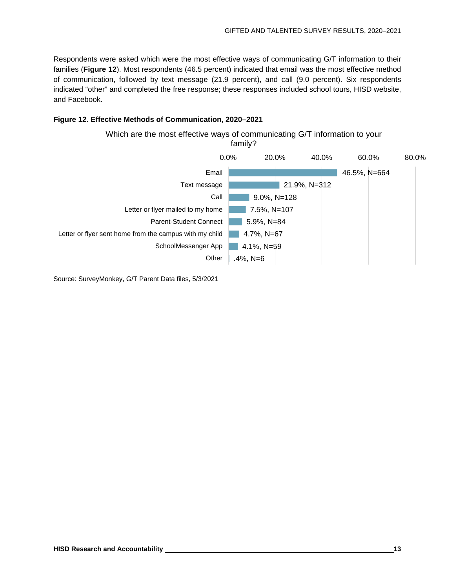Respondents were asked which were the most effective ways of communicating G/T information to their families (**Figure 12**). Most respondents (46.5 percent) indicated that email was the most effective method of communication, followed by text message (21.9 percent), and call (9.0 percent). Six respondents indicated "other" and completed the free response; these responses included school tours, HISD website, and Facebook.

#### **Figure 12. Effective Methods of Communication, 2020–2021**

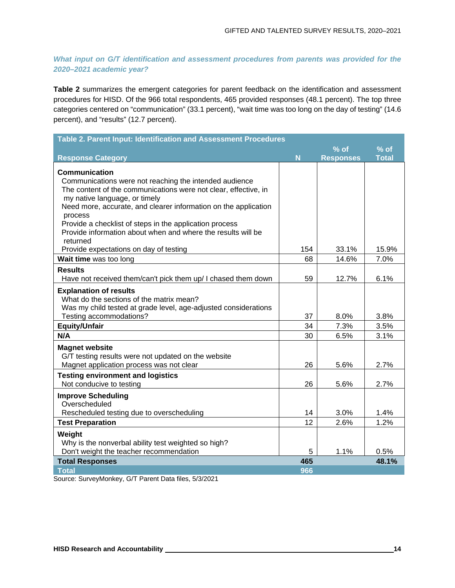*What input on G/T identification and assessment procedures from parents was provided for the 2020–2021 academic year?*

**Table 2** summarizes the emergent categories for parent feedback on the identification and assessment procedures for HISD. Of the 966 total respondents, 465 provided responses (48.1 percent). The top three categories centered on "communication" (33.1 percent), "wait time was too long on the day of testing" (14.6 percent), and "results" (12.7 percent).

| Table 2. Parent Input: Identification and Assessment Procedures                                                         |            |                            |                        |
|-------------------------------------------------------------------------------------------------------------------------|------------|----------------------------|------------------------|
| <b>Response Category</b>                                                                                                | N          | $%$ of<br><b>Responses</b> | $%$ of<br><b>Total</b> |
| <b>Communication</b>                                                                                                    |            |                            |                        |
| Communications were not reaching the intended audience                                                                  |            |                            |                        |
| The content of the communications were not clear, effective, in<br>my native language, or timely                        |            |                            |                        |
| Need more, accurate, and clearer information on the application                                                         |            |                            |                        |
| process                                                                                                                 |            |                            |                        |
| Provide a checklist of steps in the application process<br>Provide information about when and where the results will be |            |                            |                        |
| returned                                                                                                                |            |                            |                        |
| Provide expectations on day of testing                                                                                  | 154        | 33.1%                      | 15.9%                  |
| Wait time was too long                                                                                                  | 68         | 14.6%                      | 7.0%                   |
| <b>Results</b>                                                                                                          |            |                            |                        |
| Have not received them/can't pick them up/ I chased them down                                                           | 59         | 12.7%                      | 6.1%                   |
| <b>Explanation of results</b>                                                                                           |            |                            |                        |
| What do the sections of the matrix mean?                                                                                |            |                            |                        |
| Was my child tested at grade level, age-adjusted considerations<br>Testing accommodations?                              | 37         | 8.0%                       | 3.8%                   |
| <b>Equity/Unfair</b>                                                                                                    | 34         | 7.3%                       | 3.5%                   |
| N/A                                                                                                                     | 30         | 6.5%                       | 3.1%                   |
| <b>Magnet website</b>                                                                                                   |            |                            |                        |
| G/T testing results were not updated on the website                                                                     |            |                            |                        |
| Magnet application process was not clear                                                                                | 26         | 5.6%                       | 2.7%                   |
| <b>Testing environment and logistics</b><br>Not conducive to testing                                                    | 26         | 5.6%                       | 2.7%                   |
|                                                                                                                         |            |                            |                        |
| <b>Improve Scheduling</b><br>Overscheduled                                                                              |            |                            |                        |
| Rescheduled testing due to overscheduling                                                                               | 14         | 3.0%                       | 1.4%                   |
| <b>Test Preparation</b>                                                                                                 | 12         | 2.6%                       | 1.2%                   |
| Weight                                                                                                                  |            |                            |                        |
| Why is the nonverbal ability test weighted so high?                                                                     |            |                            |                        |
| Don't weight the teacher recommendation                                                                                 | 5          | 1.1%                       | 0.5%                   |
| <b>Total Responses</b><br><b>Total</b>                                                                                  | 465<br>966 |                            | 48.1%                  |
|                                                                                                                         |            |                            |                        |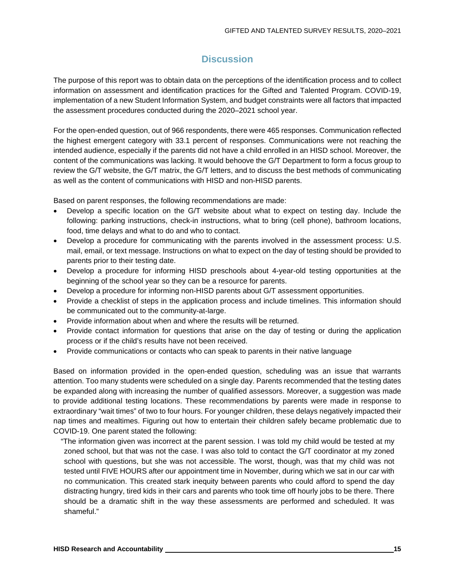## **Discussion**

The purpose of this report was to obtain data on the perceptions of the identification process and to collect information on assessment and identification practices for the Gifted and Talented Program. COVID-19, implementation of a new Student Information System, and budget constraints were all factors that impacted the assessment procedures conducted during the 2020–2021 school year.

For the open-ended question, out of 966 respondents, there were 465 responses. Communication reflected the highest emergent category with 33.1 percent of responses. Communications were not reaching the intended audience, especially if the parents did not have a child enrolled in an HISD school. Moreover, the content of the communications was lacking. It would behoove the G/T Department to form a focus group to review the G/T website, the G/T matrix, the G/T letters, and to discuss the best methods of communicating as well as the content of communications with HISD and non-HISD parents.

Based on parent responses, the following recommendations are made:

- Develop a specific location on the G/T website about what to expect on testing day. Include the following: parking instructions, check-in instructions, what to bring (cell phone), bathroom locations, food, time delays and what to do and who to contact.
- Develop a procedure for communicating with the parents involved in the assessment process: U.S. mail, email, or text message. Instructions on what to expect on the day of testing should be provided to parents prior to their testing date.
- Develop a procedure for informing HISD preschools about 4-year-old testing opportunities at the beginning of the school year so they can be a resource for parents.
- Develop a procedure for informing non-HISD parents about G/T assessment opportunities.
- Provide a checklist of steps in the application process and include timelines. This information should be communicated out to the community-at-large.
- Provide information about when and where the results will be returned.
- Provide contact information for questions that arise on the day of testing or during the application process or if the child's results have not been received.
- Provide communications or contacts who can speak to parents in their native language

Based on information provided in the open-ended question, scheduling was an issue that warrants attention. Too many students were scheduled on a single day. Parents recommended that the testing dates be expanded along with increasing the number of qualified assessors. Moreover, a suggestion was made to provide additional testing locations. These recommendations by parents were made in response to extraordinary "wait times" of two to four hours. For younger children, these delays negatively impacted their nap times and mealtimes. Figuring out how to entertain their children safely became problematic due to COVID-19. One parent stated the following:

"The information given was incorrect at the parent session. I was told my child would be tested at my zoned school, but that was not the case. I was also told to contact the G/T coordinator at my zoned school with questions, but she was not accessible. The worst, though, was that my child was not tested until FIVE HOURS after our appointment time in November, during which we sat in our car with no communication. This created stark inequity between parents who could afford to spend the day distracting hungry, tired kids in their cars and parents who took time off hourly jobs to be there. There should be a dramatic shift in the way these assessments are performed and scheduled. It was shameful."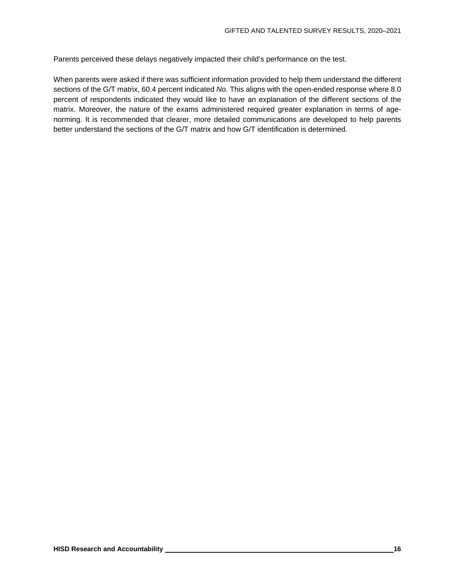Parents perceived these delays negatively impacted their child's performance on the test.

When parents were asked if there was sufficient information provided to help them understand the different sections of the G/T matrix, 60.4 percent indicated *No*. This aligns with the open-ended response where 8.0 percent of respondents indicated they would like to have an explanation of the different sections of the matrix. Moreover, the nature of the exams administered required greater explanation in terms of agenorming. It is recommended that clearer, more detailed communications are developed to help parents better understand the sections of the G/T matrix and how G/T identification is determined.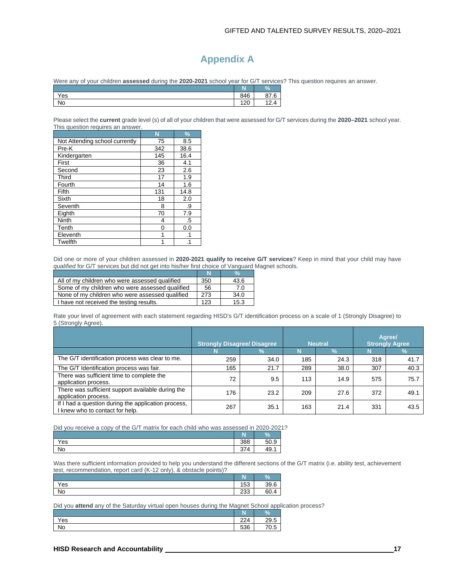## **Appendix A**

Were any of your children **assessed** during the **2020-2021** school year for G/T services? This question requires an answer.

|           | <b>COL</b><br>w.   | $\overline{O}$<br>70 |
|-----------|--------------------|----------------------|
| Yes       | 846                | $\sim$<br>G<br>w     |
| <b>No</b> | $\sqrt{2}$<br>14 U | Δ<br>$\cdots$        |

Please select the **current** grade level (s) of all of your children that were assessed for G/T services during the **2020–2021** school year. This question requires an answer.

|                                | N   | %         |
|--------------------------------|-----|-----------|
| Not Attending school currently | 75  | 8.5       |
| Pre-K                          | 342 | 38.6      |
| Kindergarten                   | 145 | 16.4      |
| First                          | 36  | 4.1       |
| Second                         | 23  | 2.6       |
| Third                          | 17  | 1.9       |
| Fourth                         | 14  | 1.6       |
| Fifth                          | 131 | 14.8      |
| Sixth                          | 18  | 2.0       |
| Seventh                        | 8   | .9        |
| Eighth                         | 70  | 7.9       |
| <b>Ninth</b>                   | 4   | .5        |
| Tenth                          | 0   | 0.0       |
| Eleventh                       | 1   | $\cdot$ 1 |
| Twelfth                        |     | .1        |

Did one or more of your children assessed in **2020-2021 qualify to receive G/T services**? Keep in mind that your child may have *qualified* for G/T services but did not get into his/her first choice of Vanguard Magnet schools.

|                                                 | N   | %    |
|-------------------------------------------------|-----|------|
| All of my children who were assessed qualified  | 350 | 43.6 |
| Some of my children who were assessed qualified | 56  | 7.0  |
| None of my children who were assessed qualified | 273 | 34.0 |
| I have not received the testing results.        | 123 | 15.3 |

Rate your level of agreement with each statement regarding HISD's G/T identification process on a scale of 1 (Strongly Disagree) to 5 (Strongly Agree).

|                                                                                        | <b>Strongly Disagree/ Disagree</b> |      |     | <b>Neutral</b> |     | Agree/<br><b>Strongly Agree</b> |
|----------------------------------------------------------------------------------------|------------------------------------|------|-----|----------------|-----|---------------------------------|
|                                                                                        |                                    | 7ο   |     |                |     |                                 |
| The G/T identification process was clear to me.                                        | 259                                | 34.0 | 185 | 24.3           | 318 | 41.7                            |
| The G/T Identification process was fair.                                               | 165                                | 21.7 | 289 | 38.0           | 307 | 40.3                            |
| There was sufficient time to complete the<br>application process.                      | 72                                 | 9.5  | 113 | 14.9           | 575 | 75.7                            |
| There was sufficient support available during the<br>application process.              | 176                                | 23.2 | 209 | 27.6           | 372 | 49.1                            |
| If I had a question during the application process,<br>I knew who to contact for help. | 267                                | 35.1 | 163 | 21.4           | 331 | 43.5                            |

Did you receive a copy of the G/T matrix for each child who was assessed in 2020-2021?

|     | --<br>LN. | $\overline{O}$<br>70      |
|-----|-----------|---------------------------|
| Yes | 388       | $\sqrt{2}$<br>$\sim$<br>◡ |
| No  | Δ<br>ັບເ  | 1C<br>93.                 |

Was there sufficient information provided to help you understand the different sections of the G/T matrix (i.e. ability test, achievement test, recommendation, report card (K-12 only), & obstacle points)?

|           | . .            | $\Omega$ |
|-----------|----------------|----------|
| Yes       | $\Gamma$<br>റാ | --<br>₹q |
| <b>No</b> | $\sim$<br>دت∠  | 60       |

Did you **attend** any of the Saturday virtual open houses during the Magnet School application process?

|                  | ĸ                     | n. |
|------------------|-----------------------|----|
| $\lambda$<br>'es | 22 <sub>A</sub><br>44 |    |
| <b>No</b>        | 536                   |    |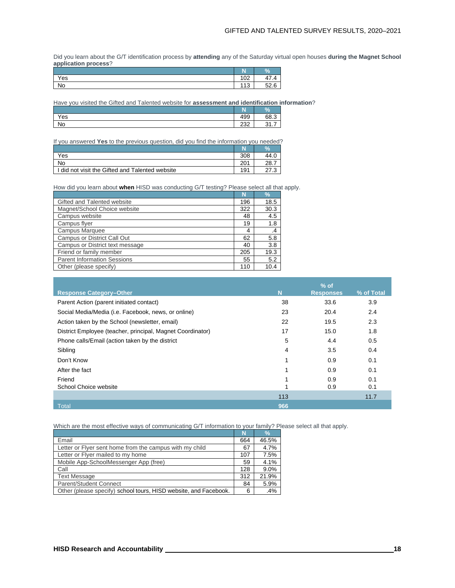Did you learn about the G/T identification process by **attending** any of the Saturday virtual open houses **during the Magnet School application process**?

|     | N<br>ш     | V <sub>o</sub>                      |
|-----|------------|-------------------------------------|
| Yes | 100<br>⊥∪∠ | $\rightarrow$<br>◢<br>т 1<br>$\sim$ |
| No  | ,,,<br>ں ا | 52<br>$\epsilon$                    |

Have you visited the Gifted and Talented website for **assessment and identification information**?

|     | m<br>IN.     | $\%$                   |
|-----|--------------|------------------------|
| Yes | 499          | 68.3                   |
| No  | $\sim$<br>ےت | $\sim$<br>-<br>◡ ៲ . ៸ |

If you answered **Yes** to the previous question, did you find the information you needed?

|                                                 |                 | 94  |
|-------------------------------------------------|-----------------|-----|
| Yes                                             | 308             |     |
| No                                              | 201             | 28. |
| I did not visit the Gifted and Talented website | 19 <sup>1</sup> |     |

How did you learn about **when** HISD was conducting G/T testing? Please select all that apply.

|                                    | N   | $\frac{9}{6}$ |
|------------------------------------|-----|---------------|
| Gifted and Talented website        | 196 | 18.5          |
| Magnet/School Choice website       | 322 | 30.3          |
| Campus website                     | 48  | 4.5           |
| Campus flyer                       | 19  | 1.8           |
| Campus Marquee                     | 4   | $\cdot$       |
| Campus or District Call Out        | 62  | 5.8           |
| Campus or District text message    | 40  | 3.8           |
| Friend or family member            | 205 | 19.3          |
| <b>Parent Information Sessions</b> | 55  | 5.2           |
| Other (please specify)             | 110 | 10.4          |

| <b>Response Category-Other</b>                             | N   | $%$ of<br><b>Responses</b> | % of Total |
|------------------------------------------------------------|-----|----------------------------|------------|
| Parent Action (parent initiated contact)                   | 38  | 33.6                       | 3.9        |
| Social Media/Media (i.e. Facebook, news, or online)        | 23  | 20.4                       | 2.4        |
| Action taken by the School (newsletter, email)             | 22  | 19.5                       | 2.3        |
| District Employee (teacher, principal, Magnet Coordinator) | 17  | 15.0                       | 1.8        |
| Phone calls/Email (action taken by the district            | 5   | 4.4                        | 0.5        |
| Sibling                                                    | 4   | 3.5                        | 0.4        |
| Don't Know                                                 | 1   | 0.9                        | 0.1        |
| After the fact                                             |     | 0.9                        | 0.1        |
| Friend                                                     |     | 0.9                        | 0.1        |
| School Choice website                                      |     | 0.9                        | 0.1        |
|                                                            | 113 |                            | 11.7       |
| <b>Total</b>                                               | 966 |                            |            |

Which are the most effective ways of communicating G/T information to your family? Please select all that apply.

|                                                                  | N   | $\frac{0}{0}$ |
|------------------------------------------------------------------|-----|---------------|
| Email                                                            | 664 | 46.5%         |
| Letter or Flyer sent home from the campus with my child          | 67  | 4.7%          |
| Letter or Flyer mailed to my home                                | 107 | 7.5%          |
| Mobile App-SchoolMessenger App (free)                            | 59  | 4.1%          |
| Call                                                             | 128 | 9.0%          |
| <b>Text Message</b>                                              | 312 | 21.9%         |
| <b>Parent/Student Connect</b>                                    | 84  | 5.9%          |
| Other (please specify) school tours, HISD website, and Facebook. | 6   | .4%           |